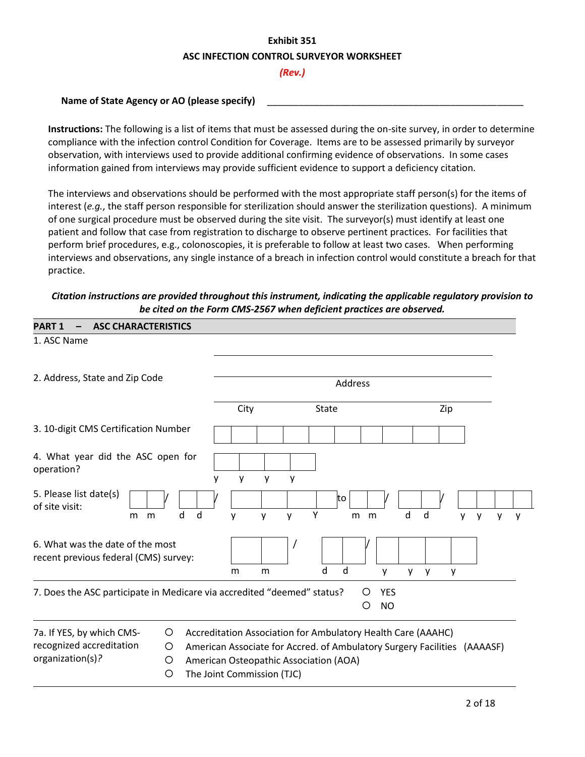# **Exhibit 351 ASC INFECTION CONTROL SURVEYOR WORKSHEET**

### *(Rev.)*

## Name of State Agency or AO (please specify)

**Instructions:** The following is a list of items that must be assessed during the on-site survey, in order to determine compliance with the infection control Condition for Coverage. Items are to be assessed primarily by surveyor observation, with interviews used to provide additional confirming evidence of observations. In some cases information gained from interviews may provide sufficient evidence to support a deficiency citation.

The interviews and observations should be performed with the most appropriate staff person(s) for the items of interest (*e.g.*, the staff person responsible for sterilization should answer the sterilization questions). A minimum of one surgical procedure must be observed during the site visit. The surveyor(s) must identify at least one patient and follow that case from registration to discharge to observe pertinent practices. For facilities that perform brief procedures, e.g., colonoscopies, it is preferable to follow at least two cases. When performing interviews and observations, any single instance of a breach in infection control would constitute a breach for that practice.

## *Citation instructions are provided throughout this instrument, indicating the applicable regulatory provision to be cited on the Form CMS-2567 when deficient practices are observed.*

| <b>ASC CHARACTERISTICS</b><br><b>PART 1</b>                                                                           |        |                                                                                                                                                                                                                  |          |              |              |                         |        |   |        |   |
|-----------------------------------------------------------------------------------------------------------------------|--------|------------------------------------------------------------------------------------------------------------------------------------------------------------------------------------------------------------------|----------|--------------|--------------|-------------------------|--------|---|--------|---|
| 1. ASC Name                                                                                                           |        |                                                                                                                                                                                                                  |          |              |              |                         |        |   |        |   |
| 2. Address, State and Zip Code                                                                                        |        | Address                                                                                                                                                                                                          |          |              |              |                         |        |   |        |   |
|                                                                                                                       |        | City                                                                                                                                                                                                             |          | <b>State</b> |              |                         | Zip    |   |        |   |
| 3. 10-digit CMS Certification Number                                                                                  |        |                                                                                                                                                                                                                  |          |              |              |                         |        |   |        |   |
| 4. What year did the ASC open for<br>operation?                                                                       | у      | y<br>У                                                                                                                                                                                                           | у        |              |              |                         |        |   |        |   |
| 5. Please list date(s)<br>of site visit:<br>m<br>m                                                                    | d<br>d | y<br>y                                                                                                                                                                                                           | у        | Υ            | to<br>m<br>m |                         | d<br>d | y | y<br>y | y |
| 6. What was the date of the most<br>recent previous federal (CMS) survey:                                             |        | m<br>m                                                                                                                                                                                                           | $\prime$ | d            | d            | y                       | y<br>y | y |        |   |
| 7. Does the ASC participate in Medicare via accredited "deemed" status?                                               |        |                                                                                                                                                                                                                  |          |              | O<br>O       | <b>YES</b><br><b>NO</b> |        |   |        |   |
| 7a. If YES, by which CMS-<br>$\circ$<br>recognized accreditation<br>$\circ$<br>organization(s)?<br>$\circ$<br>$\circ$ |        | Accreditation Association for Ambulatory Health Care (AAAHC)<br>American Associate for Accred. of Ambulatory Surgery Facilities (AAAASF)<br>American Osteopathic Association (AOA)<br>The Joint Commission (TJC) |          |              |              |                         |        |   |        |   |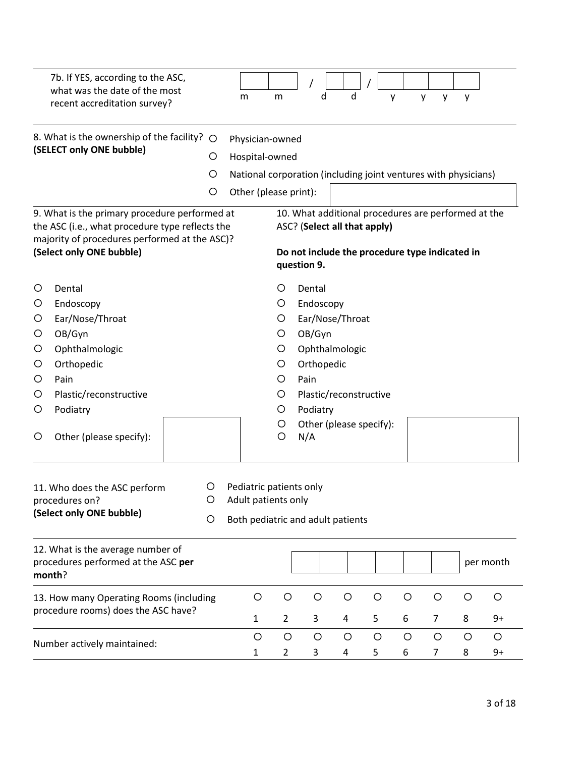|                                                                                          | 7b. If YES, according to the ASC,<br>what was the date of the most<br>recent accreditation survey?                                                |              | m                                                                                   | m                                 | d                                                                                   |         | d |         | y       | y<br>y  | y       |           |
|------------------------------------------------------------------------------------------|---------------------------------------------------------------------------------------------------------------------------------------------------|--------------|-------------------------------------------------------------------------------------|-----------------------------------|-------------------------------------------------------------------------------------|---------|---|---------|---------|---------|---------|-----------|
| 8. What is the ownership of the facility?<br>$\bigcirc$<br>(SELECT only ONE bubble)<br>O |                                                                                                                                                   |              |                                                                                     | Physician-owned<br>Hospital-owned |                                                                                     |         |   |         |         |         |         |           |
|                                                                                          |                                                                                                                                                   | O            | National corporation (including joint ventures with physicians)                     |                                   |                                                                                     |         |   |         |         |         |         |           |
|                                                                                          |                                                                                                                                                   | O            | Other (please print):                                                               |                                   |                                                                                     |         |   |         |         |         |         |           |
|                                                                                          | 9. What is the primary procedure performed at<br>the ASC (i.e., what procedure type reflects the<br>majority of procedures performed at the ASC)? |              |                                                                                     |                                   | 10. What additional procedures are performed at the<br>ASC? (Select all that apply) |         |   |         |         |         |         |           |
|                                                                                          | (Select only ONE bubble)                                                                                                                          |              |                                                                                     |                                   | Do not include the procedure type indicated in<br>question 9.                       |         |   |         |         |         |         |           |
| $\circ$                                                                                  | Dental                                                                                                                                            |              |                                                                                     | O                                 | Dental                                                                              |         |   |         |         |         |         |           |
| O                                                                                        | Endoscopy                                                                                                                                         |              |                                                                                     | O                                 | Endoscopy                                                                           |         |   |         |         |         |         |           |
| O                                                                                        | Ear/Nose/Throat                                                                                                                                   |              |                                                                                     | $\circ$                           | Ear/Nose/Throat                                                                     |         |   |         |         |         |         |           |
| O                                                                                        | OB/Gyn                                                                                                                                            |              |                                                                                     | O                                 | OB/Gyn                                                                              |         |   |         |         |         |         |           |
| $\circ$                                                                                  | Ophthalmologic                                                                                                                                    |              |                                                                                     | O                                 | Ophthalmologic                                                                      |         |   |         |         |         |         |           |
| O                                                                                        | Orthopedic                                                                                                                                        |              |                                                                                     | O                                 | Orthopedic                                                                          |         |   |         |         |         |         |           |
| O                                                                                        | Pain                                                                                                                                              |              |                                                                                     | O                                 | Pain                                                                                |         |   |         |         |         |         |           |
| $\circ$                                                                                  | Plastic/reconstructive                                                                                                                            |              |                                                                                     | O                                 | Plastic/reconstructive                                                              |         |   |         |         |         |         |           |
| O                                                                                        | Podiatry                                                                                                                                          |              |                                                                                     | O                                 | Podiatry                                                                            |         |   |         |         |         |         |           |
| O                                                                                        | Other (please specify):                                                                                                                           |              |                                                                                     | $\circ$<br>$\circ$                | Other (please specify):<br>N/A                                                      |         |   |         |         |         |         |           |
|                                                                                          | 11. Who does the ASC perform<br>procedures on?<br>(Select only ONE bubble)                                                                        | O<br>$\circ$ | Pediatric patients only<br>Adult patients only<br>Both pediatric and adult patients |                                   |                                                                                     |         |   |         |         |         |         |           |
|                                                                                          |                                                                                                                                                   |              |                                                                                     |                                   |                                                                                     |         |   |         |         |         |         |           |
|                                                                                          | 12. What is the average number of<br>procedures performed at the ASC per<br>month?                                                                |              |                                                                                     |                                   |                                                                                     |         |   |         |         |         |         | per month |
|                                                                                          | 13. How many Operating Rooms (including                                                                                                           |              | O                                                                                   | $\circ$                           | $\circ$                                                                             | $\circ$ |   | $\circ$ | $\circ$ | $\circ$ | $\circ$ | O         |
|                                                                                          | procedure rooms) does the ASC have?                                                                                                               |              | $\mathbf{1}$                                                                        | $\overline{2}$                    | 3                                                                                   | 4       |   | 5       | 6       | 7       | 8       | $9+$      |
|                                                                                          |                                                                                                                                                   |              | $\circ$                                                                             | $\circ$                           | $\circ$                                                                             | $\circ$ |   | O       | $\circ$ | $\circ$ | $\circ$ | O         |
|                                                                                          | Number actively maintained:                                                                                                                       |              | 1                                                                                   | $\overline{2}$                    | 3                                                                                   | 4       |   | 5       | 6       | 7       | 8       | $9+$      |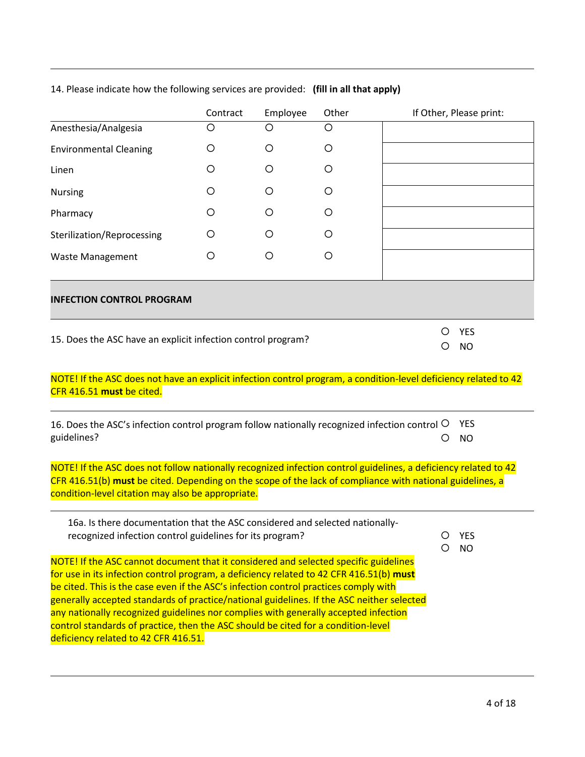|  | 14. Please indicate how the following services are provided: (fill in all that apply) |  |
|--|---------------------------------------------------------------------------------------|--|
|  |                                                                                       |  |

|                                                                                                                                                                                                                                                                                                                                                                                                                                                                                                                                                                                          | Contract | Employee                | Other |   | If Other, Please print: |  |  |  |
|------------------------------------------------------------------------------------------------------------------------------------------------------------------------------------------------------------------------------------------------------------------------------------------------------------------------------------------------------------------------------------------------------------------------------------------------------------------------------------------------------------------------------------------------------------------------------------------|----------|-------------------------|-------|---|-------------------------|--|--|--|
| Anesthesia/Analgesia                                                                                                                                                                                                                                                                                                                                                                                                                                                                                                                                                                     | O        | O                       | O     |   |                         |  |  |  |
| <b>Environmental Cleaning</b>                                                                                                                                                                                                                                                                                                                                                                                                                                                                                                                                                            | Ő        | O                       | O     |   |                         |  |  |  |
| Linen                                                                                                                                                                                                                                                                                                                                                                                                                                                                                                                                                                                    | O        | O                       | O     |   |                         |  |  |  |
| <b>Nursing</b>                                                                                                                                                                                                                                                                                                                                                                                                                                                                                                                                                                           | O        | O                       | O     |   |                         |  |  |  |
| Pharmacy                                                                                                                                                                                                                                                                                                                                                                                                                                                                                                                                                                                 | O        | O                       | O     |   |                         |  |  |  |
| Sterilization/Reprocessing                                                                                                                                                                                                                                                                                                                                                                                                                                                                                                                                                               | O        | O                       | O     |   |                         |  |  |  |
| Waste Management                                                                                                                                                                                                                                                                                                                                                                                                                                                                                                                                                                         | O        | O                       | O     |   |                         |  |  |  |
| <b>INFECTION CONTROL PROGRAM</b>                                                                                                                                                                                                                                                                                                                                                                                                                                                                                                                                                         |          |                         |       |   |                         |  |  |  |
| <b>YES</b><br>O<br>15. Does the ASC have an explicit infection control program?<br>Ο<br><b>NO</b>                                                                                                                                                                                                                                                                                                                                                                                                                                                                                        |          |                         |       |   |                         |  |  |  |
| NOTE! If the ASC does not have an explicit infection control program, a condition-level deficiency related to 42<br>CFR 416.51 must be cited.                                                                                                                                                                                                                                                                                                                                                                                                                                            |          |                         |       |   |                         |  |  |  |
| 16. Does the ASC's infection control program follow nationally recognized infection control $\circ$<br>guidelines?                                                                                                                                                                                                                                                                                                                                                                                                                                                                       |          |                         |       | О | <b>YES</b><br><b>NO</b> |  |  |  |
| NOTE! If the ASC does not follow nationally recognized infection control guidelines, a deficiency related to 42<br>CFR 416.51(b) must be cited. Depending on the scope of the lack of compliance with national guidelines, a<br>condition-level citation may also be appropriate.                                                                                                                                                                                                                                                                                                        |          |                         |       |   |                         |  |  |  |
| 16a. Is there documentation that the ASC considered and selected nationally-<br>recognized infection control guidelines for its program?                                                                                                                                                                                                                                                                                                                                                                                                                                                 | О<br>О   | <b>YES</b><br><b>NO</b> |       |   |                         |  |  |  |
| NOTE! If the ASC cannot document that it considered and selected specific guidelines<br>for use in its infection control program, a deficiency related to 42 CFR 416.51(b) must<br>be cited. This is the case even if the ASC's infection control practices comply with<br>generally accepted standards of practice/national guidelines. If the ASC neither selected<br>any nationally recognized guidelines nor complies with generally accepted infection<br>control standards of practice, then the ASC should be cited for a condition-level<br>deficiency related to 42 CFR 416.51. |          |                         |       |   |                         |  |  |  |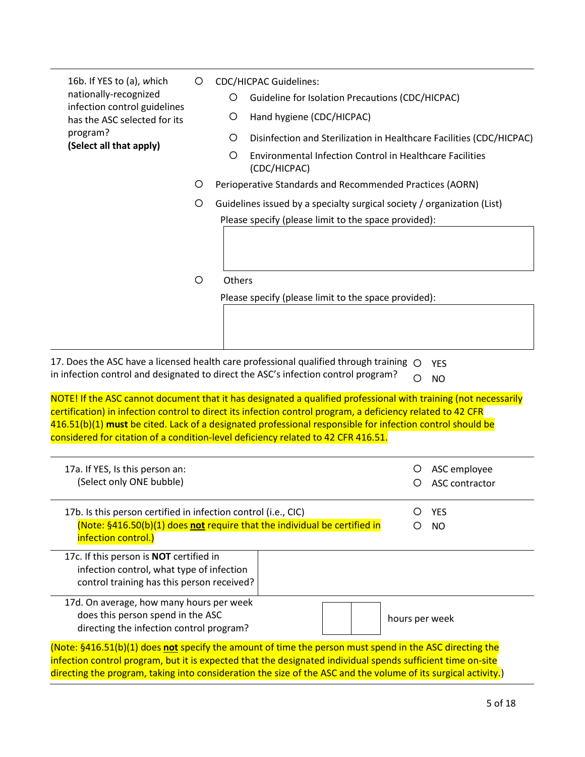| 16b. If YES to (a), which                                                     | $\circ$ | <b>CDC/HICPAC Guidelines:</b>                                                                                                                                                                                            |  |  |  |  |
|-------------------------------------------------------------------------------|---------|--------------------------------------------------------------------------------------------------------------------------------------------------------------------------------------------------------------------------|--|--|--|--|
| nationally-recognized                                                         |         | O<br>Guideline for Isolation Precautions (CDC/HICPAC)                                                                                                                                                                    |  |  |  |  |
| infection control guidelines                                                  |         | O<br>Hand hygiene (CDC/HICPAC)                                                                                                                                                                                           |  |  |  |  |
| has the ASC selected for its<br>program?<br>(Select all that apply)           |         |                                                                                                                                                                                                                          |  |  |  |  |
|                                                                               |         | O<br>Disinfection and Sterilization in Healthcare Facilities (CDC/HICPAC)                                                                                                                                                |  |  |  |  |
|                                                                               |         | O<br><b>Environmental Infection Control in Healthcare Facilities</b><br>(CDC/HICPAC)                                                                                                                                     |  |  |  |  |
|                                                                               | Ő       | Perioperative Standards and Recommended Practices (AORN)                                                                                                                                                                 |  |  |  |  |
|                                                                               | O       | Guidelines issued by a specialty surgical society / organization (List)                                                                                                                                                  |  |  |  |  |
|                                                                               |         | Please specify (please limit to the space provided):                                                                                                                                                                     |  |  |  |  |
|                                                                               |         |                                                                                                                                                                                                                          |  |  |  |  |
|                                                                               |         |                                                                                                                                                                                                                          |  |  |  |  |
|                                                                               | $\circ$ | Others                                                                                                                                                                                                                   |  |  |  |  |
|                                                                               |         | Please specify (please limit to the space provided):                                                                                                                                                                     |  |  |  |  |
|                                                                               |         |                                                                                                                                                                                                                          |  |  |  |  |
|                                                                               |         |                                                                                                                                                                                                                          |  |  |  |  |
|                                                                               |         |                                                                                                                                                                                                                          |  |  |  |  |
|                                                                               |         | 17. Does the ASC have a licensed health care professional qualified through training $\bigcirc$<br><b>YES</b>                                                                                                            |  |  |  |  |
|                                                                               |         | in infection control and designated to direct the ASC's infection control program?<br>Ω<br><b>NO</b>                                                                                                                     |  |  |  |  |
|                                                                               |         | NOTE! If the ASC cannot document that it has designated a qualified professional with training (not necessarily                                                                                                          |  |  |  |  |
|                                                                               |         | certification) in infection control to direct its infection control program, a deficiency related to 42 CFR<br>416.51(b)(1) must be cited. Lack of a designated professional responsible for infection control should be |  |  |  |  |
|                                                                               |         | considered for citation of a condition-level deficiency related to 42 CFR 416.51.                                                                                                                                        |  |  |  |  |
|                                                                               |         |                                                                                                                                                                                                                          |  |  |  |  |
| 17a. If YES, Is this person an:                                               |         | ASC employee<br>O                                                                                                                                                                                                        |  |  |  |  |
| (Select only ONE bubble)                                                      |         | ASC contractor<br>Ő                                                                                                                                                                                                      |  |  |  |  |
|                                                                               |         |                                                                                                                                                                                                                          |  |  |  |  |
| 17b. Is this person certified in infection control (i.e., CIC)                |         | <b>YES</b><br>(Note: §416.50(b)(1) does not require that the individual be certified in<br><b>NO</b><br>O                                                                                                                |  |  |  |  |
| infection control.)                                                           |         |                                                                                                                                                                                                                          |  |  |  |  |
| 17c. If this person is NOT certified in                                       |         |                                                                                                                                                                                                                          |  |  |  |  |
| infection control, what type of infection                                     |         |                                                                                                                                                                                                                          |  |  |  |  |
| control training has this person received?                                    |         |                                                                                                                                                                                                                          |  |  |  |  |
| 17d. On average, how many hours per week                                      |         |                                                                                                                                                                                                                          |  |  |  |  |
| does this person spend in the ASC<br>directing the infection control program? |         | hours per week                                                                                                                                                                                                           |  |  |  |  |
|                                                                               |         | (Note: §416.51(b)(1) does not specify the amount of time the person must spend in the ASC directing the                                                                                                                  |  |  |  |  |
|                                                                               |         | infection control program, but it is expected that the designated individual spends sufficient time on-site                                                                                                              |  |  |  |  |
|                                                                               |         | directing the program, taking into consideration the size of the ASC and the volume of its surgical activity.)                                                                                                           |  |  |  |  |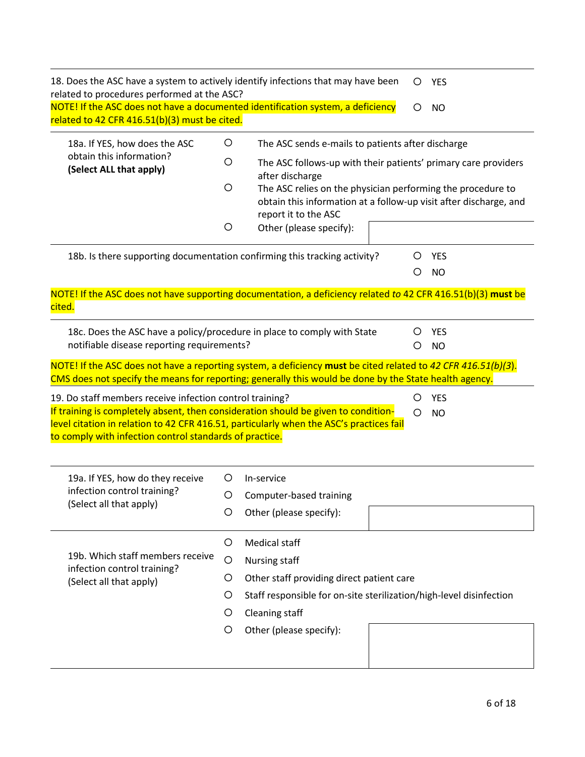| 18. Does the ASC have a system to actively identify infections that may have been<br>related to procedures performed at the ASC?                                                                                                                                                                     |                                                                                                                                                            | <b>YES</b><br>O                                                                                                                                                                                                         |  |  |  |  |  |  |
|------------------------------------------------------------------------------------------------------------------------------------------------------------------------------------------------------------------------------------------------------------------------------------------------------|------------------------------------------------------------------------------------------------------------------------------------------------------------|-------------------------------------------------------------------------------------------------------------------------------------------------------------------------------------------------------------------------|--|--|--|--|--|--|
| NOTE! If the ASC does not have a documented identification system, a deficiency<br>related to 42 CFR 416.51(b)(3) must be cited.                                                                                                                                                                     |                                                                                                                                                            | O<br><b>NO</b>                                                                                                                                                                                                          |  |  |  |  |  |  |
| 18a. If YES, how does the ASC                                                                                                                                                                                                                                                                        | $\circ$                                                                                                                                                    | The ASC sends e-mails to patients after discharge                                                                                                                                                                       |  |  |  |  |  |  |
| obtain this information?<br>(Select ALL that apply)                                                                                                                                                                                                                                                  | O                                                                                                                                                          | The ASC follows-up with their patients' primary care providers<br>after discharge                                                                                                                                       |  |  |  |  |  |  |
|                                                                                                                                                                                                                                                                                                      | O                                                                                                                                                          | The ASC relies on the physician performing the procedure to<br>obtain this information at a follow-up visit after discharge, and<br>report it to the ASC                                                                |  |  |  |  |  |  |
|                                                                                                                                                                                                                                                                                                      | O                                                                                                                                                          | Other (please specify):                                                                                                                                                                                                 |  |  |  |  |  |  |
| 18b. Is there supporting documentation confirming this tracking activity?                                                                                                                                                                                                                            |                                                                                                                                                            | O<br><b>YES</b><br><b>NO</b><br>O                                                                                                                                                                                       |  |  |  |  |  |  |
| cited.                                                                                                                                                                                                                                                                                               |                                                                                                                                                            | NOTE! If the ASC does not have supporting documentation, a deficiency related to 42 CFR 416.51(b)(3) must be                                                                                                            |  |  |  |  |  |  |
|                                                                                                                                                                                                                                                                                                      | 18c. Does the ASC have a policy/procedure in place to comply with State<br><b>YES</b><br>O<br>notifiable disease reporting requirements?<br>O<br><b>NO</b> |                                                                                                                                                                                                                         |  |  |  |  |  |  |
|                                                                                                                                                                                                                                                                                                      |                                                                                                                                                            | NOTE! If the ASC does not have a reporting system, a deficiency must be cited related to 42 CFR 416.51(b)(3).<br>CMS does not specify the means for reporting; generally this would be done by the State health agency. |  |  |  |  |  |  |
| 19. Do staff members receive infection control training?<br>If training is completely absent, then consideration should be given to condition-<br>level citation in relation to 42 CFR 416.51, particularly when the ASC's practices fail<br>to comply with infection control standards of practice. |                                                                                                                                                            | O<br><b>YES</b><br>O<br><b>NO</b>                                                                                                                                                                                       |  |  |  |  |  |  |
| 19a. If YES, how do they receive                                                                                                                                                                                                                                                                     | O                                                                                                                                                          | In-service                                                                                                                                                                                                              |  |  |  |  |  |  |
| infection control training?                                                                                                                                                                                                                                                                          | O                                                                                                                                                          | Computer-based training                                                                                                                                                                                                 |  |  |  |  |  |  |
| (Select all that apply)                                                                                                                                                                                                                                                                              | O                                                                                                                                                          | Other (please specify):                                                                                                                                                                                                 |  |  |  |  |  |  |
|                                                                                                                                                                                                                                                                                                      | O                                                                                                                                                          | Medical staff                                                                                                                                                                                                           |  |  |  |  |  |  |
| 19b. Which staff members receive<br>infection control training?                                                                                                                                                                                                                                      | $\circ$                                                                                                                                                    | <b>Nursing staff</b>                                                                                                                                                                                                    |  |  |  |  |  |  |
| (Select all that apply)                                                                                                                                                                                                                                                                              | O                                                                                                                                                          | Other staff providing direct patient care                                                                                                                                                                               |  |  |  |  |  |  |
|                                                                                                                                                                                                                                                                                                      | O                                                                                                                                                          | Staff responsible for on-site sterilization/high-level disinfection                                                                                                                                                     |  |  |  |  |  |  |
|                                                                                                                                                                                                                                                                                                      | O                                                                                                                                                          | Cleaning staff                                                                                                                                                                                                          |  |  |  |  |  |  |
|                                                                                                                                                                                                                                                                                                      | O                                                                                                                                                          | Other (please specify):                                                                                                                                                                                                 |  |  |  |  |  |  |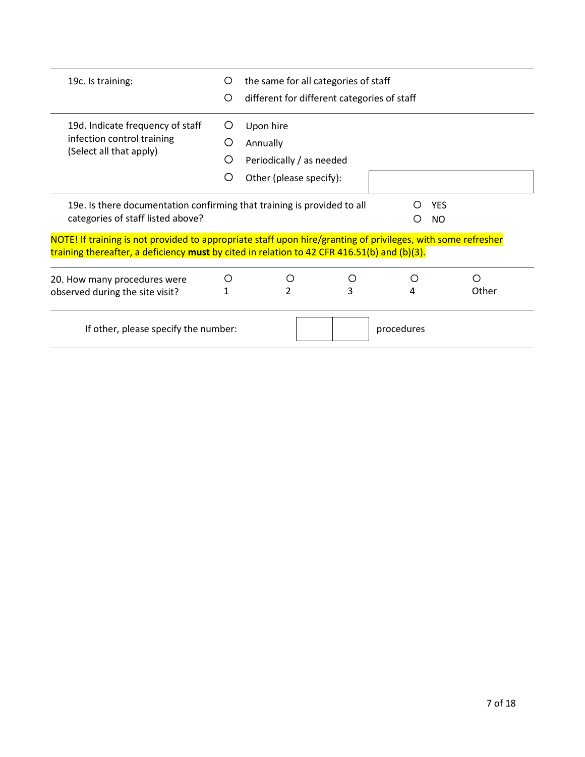| 19c. Is training:                                                                                                                                                                                                                                                 | ( )<br>O                                       | the same for all categories of staff<br>different for different categories of staff |   |            |       |  |  |  |  |
|-------------------------------------------------------------------------------------------------------------------------------------------------------------------------------------------------------------------------------------------------------------------|------------------------------------------------|-------------------------------------------------------------------------------------|---|------------|-------|--|--|--|--|
| 19d. Indicate frequency of staff<br>infection control training<br>(Select all that apply)                                                                                                                                                                         | O<br>$\left( \right)$<br>$\left( \right)$<br>O | Upon hire<br>Annually<br>Periodically / as needed<br>Other (please specify):        |   |            |       |  |  |  |  |
| 19e. Is there documentation confirming that training is provided to all<br><b>YES</b><br>Ω<br>categories of staff listed above?<br><b>NO</b><br>O<br>NOTE! If training is not provided to appropriate staff upon hire/granting of privileges, with some refresher |                                                |                                                                                     |   |            |       |  |  |  |  |
| training thereafter, a deficiency must by cited in relation to 42 CFR 416.51(b) and (b)(3).                                                                                                                                                                       |                                                |                                                                                     |   |            |       |  |  |  |  |
| 20. How many procedures were<br>observed during the site visit?                                                                                                                                                                                                   |                                                |                                                                                     | 3 | 4          | Other |  |  |  |  |
| If other, please specify the number:                                                                                                                                                                                                                              |                                                |                                                                                     |   | procedures |       |  |  |  |  |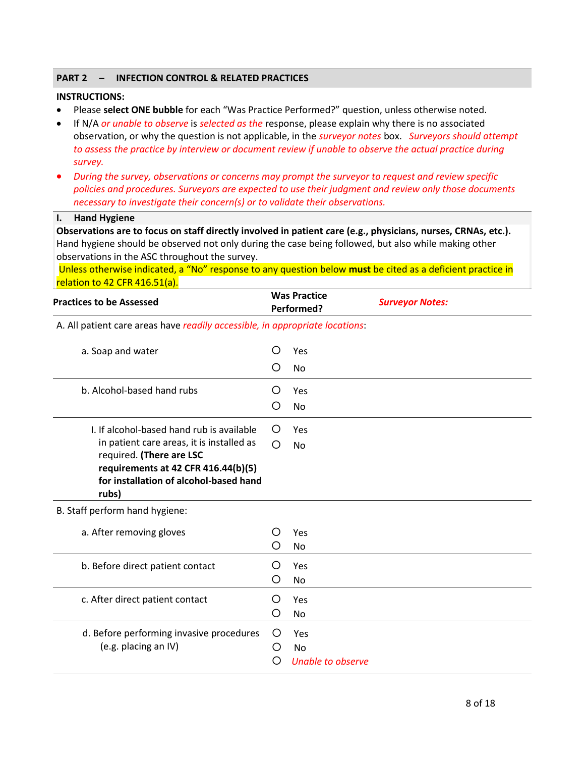#### **PART 2 – INFECTION CONTROL & RELATED PRACTICES**

#### **INSTRUCTIONS:**

- Please **select ONE bubble** for each "Was Practice Performed?" question, unless otherwise noted.
- If N/A *or unable to observe* is *selected as the* response, please explain why there is no associated observation, or why the question is not applicable, in the *surveyor notes* box. *Surveyors should attempt to assess the practice by interview or document review if unable to observe the actual practice during survey.*
- *During the survey, observations or concerns may prompt the surveyor to request and review specific policies and procedures. Surveyors are expected to use their judgment and review only those documents necessary to investigate their concern(s) or to validate their observations.*

#### **I. Hand Hygiene**

**Observations are to focus on staff directly involved in patient** *c***are (e.g., physicians, nurses, CRNAs, etc.).** Hand hygiene should be observed not only during the case being followed, but also while making other observations in the ASC throughout the survey.

Unless otherwise indicated, a "No" response to any question below **must** be cited as a deficient practice in relation to 42 CFR 416.51(a).

| <b>Practices to be Assessed</b> | <b>Was Practice</b> |                        |
|---------------------------------|---------------------|------------------------|
|                                 | Performed?          | <b>Surveyor Notes:</b> |

A. All patient care areas have *readily accessible, in appropriate locations*:

| a. Soap and water                                               | ( )              | Yes               |
|-----------------------------------------------------------------|------------------|-------------------|
|                                                                 |                  | No                |
| b. Alcohol-based hand rubs                                      | ( )              | Yes               |
|                                                                 | ( )              | <b>No</b>         |
| I. If alcohol-based hand rub is available                       | $\circ$          | Yes               |
| in patient care areas, it is installed as                       | ∩                | No                |
| required. (There are LSC<br>requirements at 42 CFR 416.44(b)(5) |                  |                   |
| for installation of alcohol-based hand<br>rubs)                 |                  |                   |
| B. Staff perform hand hygiene:                                  |                  |                   |
| a. After removing gloves                                        |                  | Yes               |
|                                                                 | ( )              | No                |
| b. Before direct patient contact                                |                  | Yes               |
|                                                                 | O                | <b>No</b>         |
| c. After direct patient contact                                 | $\left( \right)$ | Yes               |
|                                                                 | O                | <b>No</b>         |
| d. Before performing invasive procedures                        | Ő                | Yes               |
| (e.g. placing an IV)                                            | ()               | No                |
|                                                                 |                  | Unable to observe |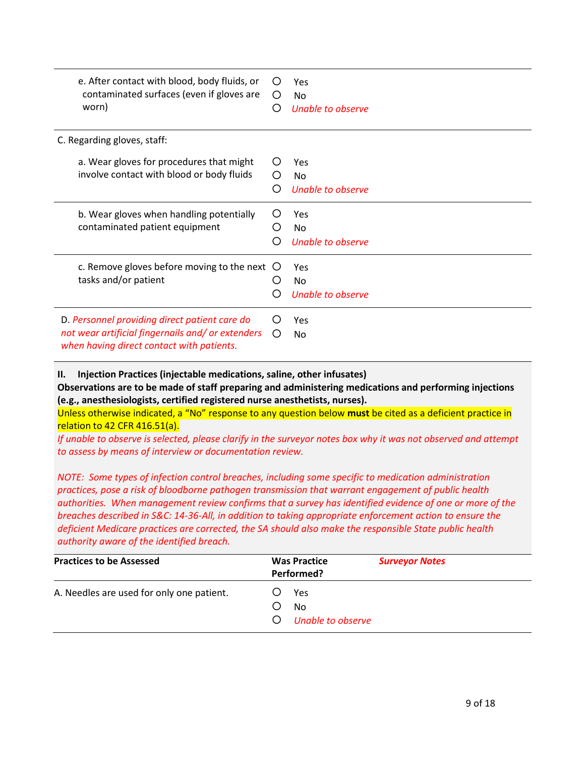| e. After contact with blood, body fluids, or<br>contaminated surfaces (even if gloves are<br>worn)                                             | ( )<br>( )       | Yes<br><b>No</b><br>Unable to observe |
|------------------------------------------------------------------------------------------------------------------------------------------------|------------------|---------------------------------------|
| C. Regarding gloves, staff:                                                                                                                    |                  |                                       |
| a. Wear gloves for procedures that might<br>involve contact with blood or body fluids                                                          | ()<br>()         | Yes<br>No<br>Unable to observe        |
| b. Wear gloves when handling potentially<br>contaminated patient equipment                                                                     | $\left( \right)$ | Yes<br><b>No</b><br>Unable to observe |
| c. Remove gloves before moving to the next<br>tasks and/or patient                                                                             | $\cup$           | Yes<br><b>No</b><br>Unable to observe |
| D. Personnel providing direct patient care do<br>not wear artificial fingernails and/or extenders<br>when having direct contact with patients. | ◯                | Yes<br>No                             |

**II. Injection Practices (injectable medications, saline, other infusates)**

**Observations are to be made of staff preparing and administering medications and performing injections (e.g., anesthesiologists, certified registered nurse anesthetists, nurses).**

Unless otherwise indicated, a "No" response to any question below **must** be cited as a deficient practice in relation to 42 CFR 416.51(a).

*If unable to observe is selected, please clarify in the surveyor notes box why it was not observed and attempt to assess by means of interview or documentation review.*

*NOTE: Some types of infection control breaches, including some specific to medication administration practices, pose a risk of bloodborne pathogen transmission that warrant engagement of public health authorities. When management review confirms that a survey has identified evidence of one or more of the breaches described in S&C: 14-36-All, in addition to taking appropriate enforcement action to ensure the deficient Medicare practices are corrected, the SA should also make the responsible State public health authority aware of the identified breach.*

| <b>Practices to be Assessed</b>           | <b>Was Practice</b><br>Performed? |                   | <b>Surveyor Notes</b> |
|-------------------------------------------|-----------------------------------|-------------------|-----------------------|
| A. Needles are used for only one patient. | Yes<br>No<br>∩                    | Unable to observe |                       |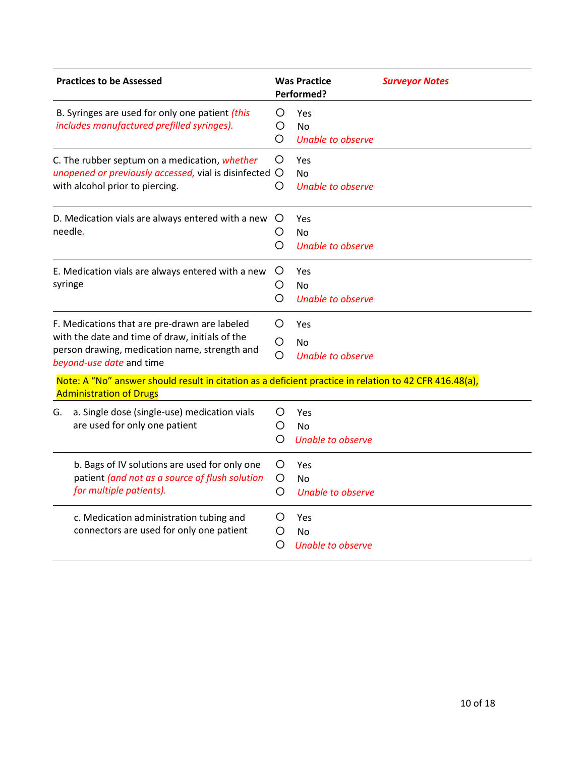| <b>Practices to be Assessed</b>                                                                                                                                               | <b>Was Practice</b><br>Performed?                          | <b>Surveyor Notes</b> |
|-------------------------------------------------------------------------------------------------------------------------------------------------------------------------------|------------------------------------------------------------|-----------------------|
| B. Syringes are used for only one patient (this<br>includes manufactured prefilled syringes).                                                                                 | O<br>Yes<br>O<br>No<br>O<br>Unable to observe              |                       |
| C. The rubber septum on a medication, whether<br>unopened or previously accessed, vial is disinfected<br>with alcohol prior to piercing.                                      | O<br>Yes<br>O<br>N <sub>0</sub><br>Ω<br>Unable to observe  |                       |
| D. Medication vials are always entered with a new<br>needle.                                                                                                                  | $\circ$<br>Yes<br>O<br><b>No</b><br>O<br>Unable to observe |                       |
| E. Medication vials are always entered with a new<br>syringe                                                                                                                  | Ő<br>Yes<br>O<br><b>No</b><br>Unable to observe<br>O       |                       |
| F. Medications that are pre-drawn are labeled<br>with the date and time of draw, initials of the<br>person drawing, medication name, strength and<br>beyond-use date and time | O<br>Yes<br>O<br>No<br>O<br>Unable to observe              |                       |
| Note: A "No" answer should result in citation as a deficient practice in relation to 42 CFR 416.48(a),<br><b>Administration of Drugs</b>                                      |                                                            |                       |
| a. Single dose (single-use) medication vials<br>G.<br>are used for only one patient                                                                                           | О<br>Yes<br>O<br>No<br><b>Unable to observe</b><br>O       |                       |
| b. Bags of IV solutions are used for only one<br>patient (and not as a source of flush solution<br>for multiple patients).                                                    | O<br>Yes<br>O<br><b>No</b><br>O<br>Unable to observe       |                       |
| c. Medication administration tubing and<br>connectors are used for only one patient                                                                                           | Ő<br>Yes<br>O<br>No<br>O<br>Unable to observe              |                       |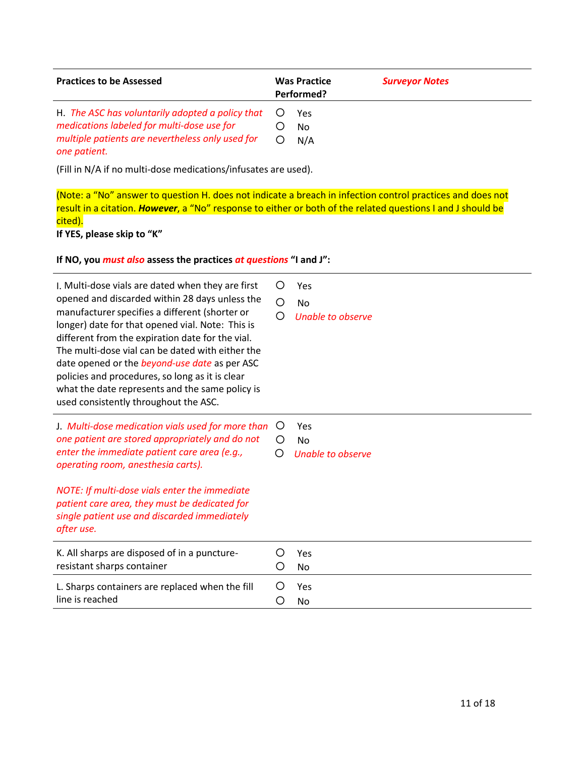| <b>Practices to be Assessed</b>                                                                                                                                    | <b>Was Practice</b><br>Performed? | <b>Surveyor Notes</b> |
|--------------------------------------------------------------------------------------------------------------------------------------------------------------------|-----------------------------------|-----------------------|
| H. The ASC has voluntarily adopted a policy that<br>medications labeled for multi-dose use for<br>multiple patients are nevertheless only used for<br>one patient. | <b>Yes</b><br>No.<br>N/A          |                       |

(Fill in N/A if no multi-dose medications/infusates are used).

(Note: a "No" answer to question H. does not indicate a breach in infection control practices and does not result in a citation. *However*, a "No" response to either or both of the related questions I and J should be cited).

**If YES, please skip to "K"**

## **If NO, you** *must also* **assess the practices** *at questions* **"I and J":**

| I. Multi-dose vials are dated when they are first<br>opened and discarded within 28 days unless the<br>manufacturer specifies a different (shorter or<br>longer) date for that opened vial. Note: This is<br>different from the expiration date for the vial.<br>The multi-dose vial can be dated with either the<br>date opened or the beyond-use date as per ASC<br>policies and procedures, so long as it is clear<br>what the date represents and the same policy is<br>used consistently throughout the ASC. | O<br>O<br>O | Yes<br><b>No</b><br>Unable to observe        |
|-------------------------------------------------------------------------------------------------------------------------------------------------------------------------------------------------------------------------------------------------------------------------------------------------------------------------------------------------------------------------------------------------------------------------------------------------------------------------------------------------------------------|-------------|----------------------------------------------|
| J. Multi-dose medication vials used for more than<br>one patient are stored appropriately and do not<br>enter the immediate patient care area (e.g.,<br>operating room, anesthesia carts).<br>NOTE: If multi-dose vials enter the immediate<br>patient care area, they must be dedicated for<br>single patient use and discarded immediately<br>after use.                                                                                                                                                        | Ő<br>O      | Yes<br><b>No</b><br><b>Unable to observe</b> |
| K. All sharps are disposed of in a puncture-                                                                                                                                                                                                                                                                                                                                                                                                                                                                      | O           | Yes                                          |
| resistant sharps container                                                                                                                                                                                                                                                                                                                                                                                                                                                                                        | O           | <b>No</b>                                    |
| L. Sharps containers are replaced when the fill                                                                                                                                                                                                                                                                                                                                                                                                                                                                   | ()          | Yes                                          |
| line is reached                                                                                                                                                                                                                                                                                                                                                                                                                                                                                                   | Ω           | <b>No</b>                                    |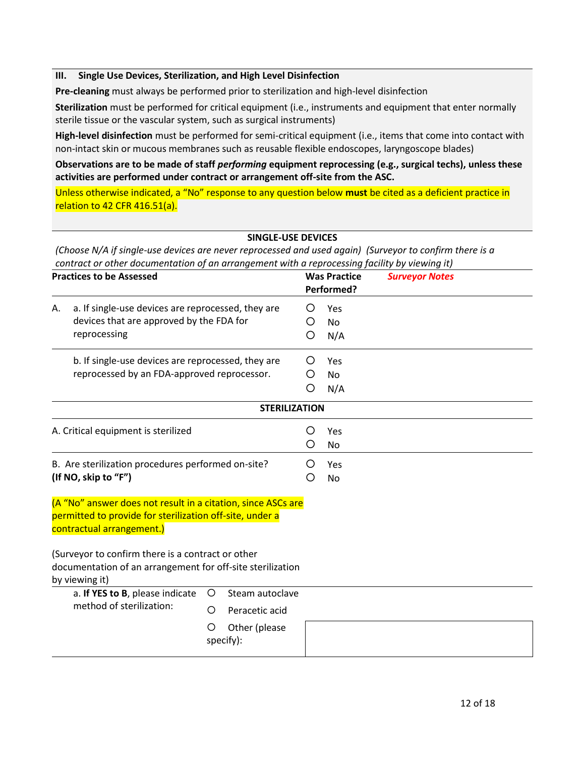#### **III. Single Use Devices, Sterilization, and High Level Disinfection**

**Pre-cleaning** must always be performed prior to sterilization and high-level disinfection

**Sterilization** must be performed for critical equipment (i.e., instruments and equipment that enter normally sterile tissue or the vascular system, such as surgical instruments)

**High-level disinfection** must be performed for semi-critical equipment (i.e., items that come into contact with non-intact skin or mucous membranes such as reusable flexible endoscopes, laryngoscope blades)

**Observations are to be made of staff** *performing* **equipment reprocessing (e.g., surgical techs), unless these activities are performed under contract or arrangement off-site from the ASC.**

Unless otherwise indicated, a "No" response to any question below **must** be cited as a deficient practice in relation to 42 CFR 416.51(a).

### **SINGLE-USE DEVICES**

*(Choose N/A if single-use devices are never reprocessed and used again) (Surveyor to confirm there is a contract or other documentation of an arrangement with a reprocessing facility by viewing it)*

| <b>Practices to be Assessed</b>                                                                                                                     |                                                                                                                                                       |             | <b>Was Practice</b><br>Performed? | <b>Surveyor Notes</b>   |  |  |
|-----------------------------------------------------------------------------------------------------------------------------------------------------|-------------------------------------------------------------------------------------------------------------------------------------------------------|-------------|-----------------------------------|-------------------------|--|--|
| А.                                                                                                                                                  | a. If single-use devices are reprocessed, they are<br>devices that are approved by the FDA for<br>reprocessing                                        |             | O<br>O<br>O                       | Yes<br><b>No</b><br>N/A |  |  |
| b. If single-use devices are reprocessed, they are<br>reprocessed by an FDA-approved reprocessor.                                                   |                                                                                                                                                       | O<br>O<br>O | Yes<br><b>No</b><br>N/A           |                         |  |  |
|                                                                                                                                                     |                                                                                                                                                       |             | <b>STERILIZATION</b>              |                         |  |  |
|                                                                                                                                                     | A. Critical equipment is sterilized                                                                                                                   |             | O<br>О                            | Yes<br><b>No</b>        |  |  |
| B. Are sterilization procedures performed on-site?<br>(If NO, skip to "F")                                                                          |                                                                                                                                                       | O<br>O      | Yes<br>No                         |                         |  |  |
|                                                                                                                                                     | (A "No" answer does not result in a citation, since ASCs are<br>permitted to provide for sterilization off-site, under a<br>contractual arrangement.) |             |                                   |                         |  |  |
|                                                                                                                                                     | (Surveyor to confirm there is a contract or other<br>documentation of an arrangement for off-site sterilization<br>by viewing it)                     |             |                                   |                         |  |  |
| Steam autoclave<br>a. If YES to B, please indicate<br>$\circ$<br>method of sterilization:<br>Peracetic acid<br>O<br>Other (please<br>O<br>specify): |                                                                                                                                                       |             |                                   |                         |  |  |
|                                                                                                                                                     |                                                                                                                                                       |             |                                   |                         |  |  |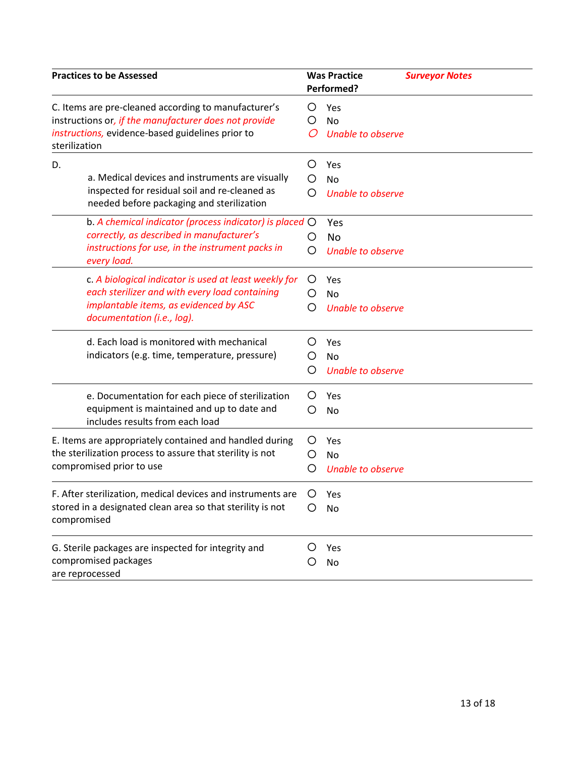| <b>Practices to be Assessed</b>                                                                                                                                                    | <b>Was Practice</b><br><b>Surveyor Notes</b><br>Performed?  |
|------------------------------------------------------------------------------------------------------------------------------------------------------------------------------------|-------------------------------------------------------------|
| C. Items are pre-cleaned according to manufacturer's<br>instructions or, if the manufacturer does not provide<br>instructions, evidence-based guidelines prior to<br>sterilization | O<br>Yes<br>O<br><b>No</b><br>O<br>Unable to observe        |
| D.<br>a. Medical devices and instruments are visually<br>inspected for residual soil and re-cleaned as<br>needed before packaging and sterilization                                | Ő<br>Yes<br>O<br><b>No</b><br>O<br><b>Unable to observe</b> |
| b. A chemical indicator (process indicator) is placed $\bigcirc$<br>correctly, as described in manufacturer's<br>instructions for use, in the instrument packs in<br>every load.   | Yes<br><b>No</b><br>O<br>O<br>Unable to observe             |
| c. A biological indicator is used at least weekly for<br>each sterilizer and with every load containing<br>implantable items, as evidenced by ASC<br>documentation (i.e., log).    | Yes<br>Ő<br>O<br><b>No</b><br>O<br>Unable to observe        |
| d. Each load is monitored with mechanical<br>indicators (e.g. time, temperature, pressure)                                                                                         | Ő<br>Yes<br>O<br><b>No</b><br>O<br><b>Unable to observe</b> |
| e. Documentation for each piece of sterilization<br>equipment is maintained and up to date and<br>includes results from each load                                                  | O<br>Yes<br>O<br>No                                         |
| E. Items are appropriately contained and handled during<br>the sterilization process to assure that sterility is not<br>compromised prior to use                                   | Yes<br>Ő<br>O<br><b>No</b><br><b>Unable to observe</b><br>Ő |
| F. After sterilization, medical devices and instruments are $\circ$ Yes<br>stored in a designated clean area so that sterility is not<br>compromised                               | O<br>No                                                     |
| G. Sterile packages are inspected for integrity and<br>compromised packages<br>are reprocessed                                                                                     | O<br>Yes<br>O<br>No                                         |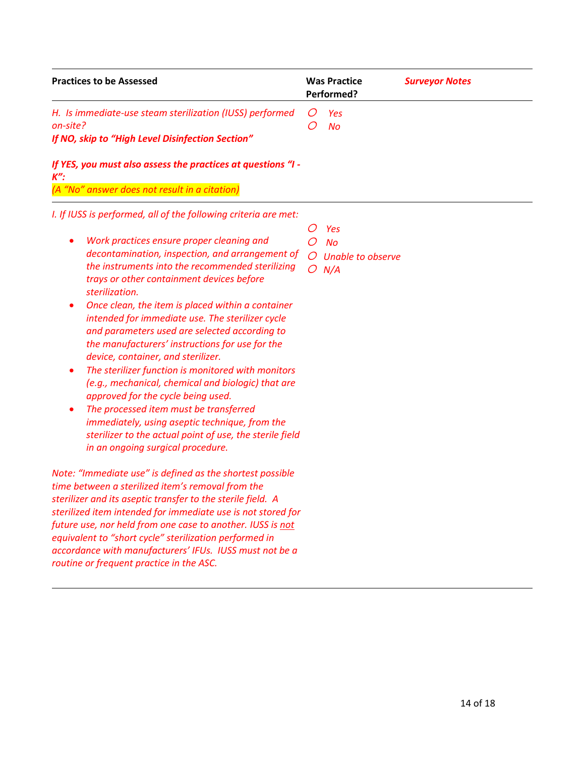| <b>Practices to be Assessed</b>                                                                                                                                                                                                                                                                                                                                                                                                                                                                                                                                                                                                                                                                                                                                                                                                                                                                             | <b>Was Practice</b><br>Performed?                          | <b>Surveyor Notes</b> |
|-------------------------------------------------------------------------------------------------------------------------------------------------------------------------------------------------------------------------------------------------------------------------------------------------------------------------------------------------------------------------------------------------------------------------------------------------------------------------------------------------------------------------------------------------------------------------------------------------------------------------------------------------------------------------------------------------------------------------------------------------------------------------------------------------------------------------------------------------------------------------------------------------------------|------------------------------------------------------------|-----------------------|
| H. Is immediate-use steam sterilization (IUSS) performed<br>on-site?<br>If NO, skip to "High Level Disinfection Section"                                                                                                                                                                                                                                                                                                                                                                                                                                                                                                                                                                                                                                                                                                                                                                                    | O<br>Yes<br>O<br><b>No</b>                                 |                       |
| If YES, you must also assess the practices at questions "I -<br>$K''$ :<br>(A "No" answer does not result in a citation)                                                                                                                                                                                                                                                                                                                                                                                                                                                                                                                                                                                                                                                                                                                                                                                    |                                                            |                       |
| I. If IUSS is performed, all of the following criteria are met:<br>Work practices ensure proper cleaning and<br>decontamination, inspection, and arrangement of<br>the instruments into the recommended sterilizing<br>trays or other containment devices before<br>sterilization.<br>Once clean, the item is placed within a container<br>٠<br>intended for immediate use. The sterilizer cycle<br>and parameters used are selected according to<br>the manufacturers' instructions for use for the<br>device, container, and sterilizer.<br>The sterilizer function is monitored with monitors<br>٠<br>(e.g., mechanical, chemical and biologic) that are<br>approved for the cycle being used.<br>The processed item must be transferred<br>$\bullet$<br>immediately, using aseptic technique, from the<br>sterilizer to the actual point of use, the sterile field<br>in an ongoing surgical procedure. | O<br>Yes<br><b>No</b><br>◯<br>O Unable to observe<br>O N/A |                       |
| Note: "Immediate use" is defined as the shortest possible<br>time between a sterilized item's removal from the<br>sterilizer and its aseptic transfer to the sterile field. A<br>sterilized item intended for immediate use is not stored for<br>future use, nor held from one case to another. IUSS is not<br>equivalent to "short cycle" sterilization performed in                                                                                                                                                                                                                                                                                                                                                                                                                                                                                                                                       |                                                            |                       |

*accordance with manufacturers' IFUs. IUSS must not be a* 

*routine or frequent practice in the ASC.*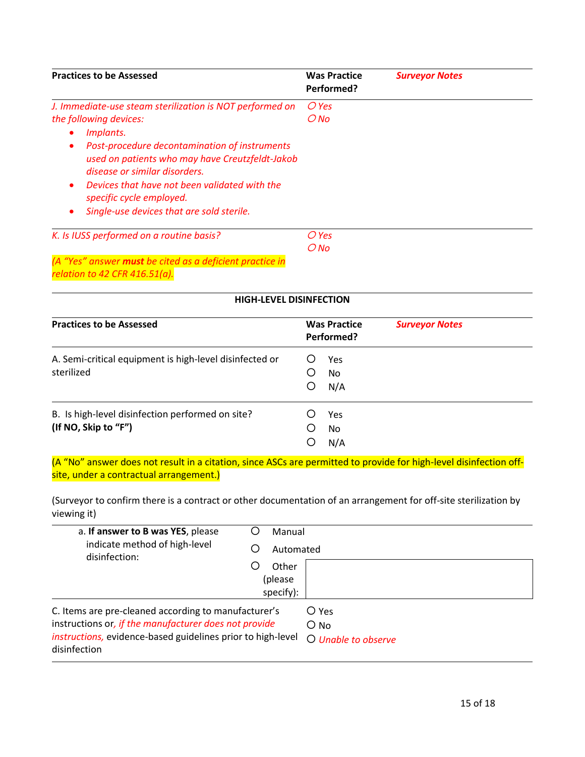| <b>Practices to be Assessed</b>                                                                                                                                                                                                                                       | <b>Was Practice</b><br>Performed? | <b>Surveyor Notes</b> |
|-----------------------------------------------------------------------------------------------------------------------------------------------------------------------------------------------------------------------------------------------------------------------|-----------------------------------|-----------------------|
| J. Immediate-use steam sterilization is NOT performed on                                                                                                                                                                                                              | O Yes                             |                       |
| the following devices:                                                                                                                                                                                                                                                | O No                              |                       |
| <i>Implants.</i>                                                                                                                                                                                                                                                      |                                   |                       |
| Post-procedure decontamination of instruments<br>٠<br>used on patients who may have Creutzfeldt-Jakob<br>disease or similar disorders.<br>Devices that have not been validated with the<br>٠<br>specific cycle employed.<br>Single-use devices that are sold sterile. |                                   |                       |
| K. Is IUSS performed on a routine basis?                                                                                                                                                                                                                              | O Yes                             |                       |
|                                                                                                                                                                                                                                                                       | O No                              |                       |
| (A "Yes" answer must be cited as a deficient practice in                                                                                                                                                                                                              |                                   |                       |

*relation to 42 CFR 416.51(a).*

#### **HIGH-LEVEL DISINFECTION**

| <b>Practices to be Assessed</b>                                          | <b>Was Practice</b><br><b>Surveyor Notes</b><br>Performed? |  |
|--------------------------------------------------------------------------|------------------------------------------------------------|--|
| A. Semi-critical equipment is high-level disinfected or<br>sterilized    | Yes<br>O<br>O<br>N <sub>0</sub><br>O<br>N/A                |  |
| B. Is high-level disinfection performed on site?<br>(If NO, Skip to "F") | Yes<br><b>No</b><br>$\circ$<br>N/A                         |  |

(A "No" answer does not result in a citation, since ASCs are permitted to provide for high-level disinfection offsite, under a contractual arrangement.)

(Surveyor to confirm there is a contract or other documentation of an arrangement for off-site sterilization by viewing it)

| a. If answer to B was YES, please<br>indicate method of high-level<br>disinfection: | Manual<br>Automated  |  |
|-------------------------------------------------------------------------------------|----------------------|--|
|                                                                                     | Other                |  |
|                                                                                     | (please<br>specify): |  |
| C. Items are pre-cleaned according to manufacturer's                                | O Yes                |  |
| instructions or, if the manufacturer does not provide                               | $\bigcirc$ No        |  |
| instructions, evidence-based guidelines prior to high-level<br>disinfection         | O Unable to observe  |  |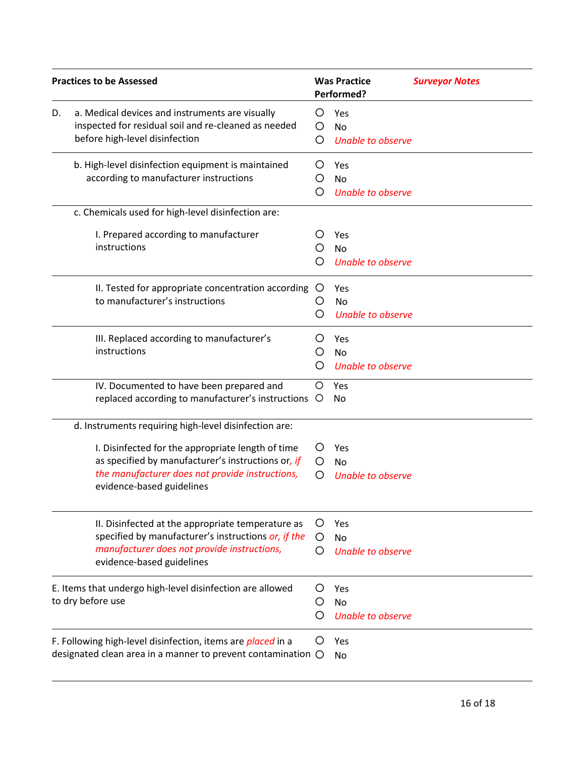| <b>Practices to be Assessed</b> |                                                                                                                                                                                         | <b>Was Practice</b><br><b>Surveyor Notes</b><br>Performed? |                                              |  |
|---------------------------------|-----------------------------------------------------------------------------------------------------------------------------------------------------------------------------------------|------------------------------------------------------------|----------------------------------------------|--|
| D.                              | a. Medical devices and instruments are visually<br>inspected for residual soil and re-cleaned as needed<br>before high-level disinfection                                               | Ő<br>O<br>O                                                | Yes<br><b>No</b><br><b>Unable to observe</b> |  |
|                                 | b. High-level disinfection equipment is maintained<br>according to manufacturer instructions                                                                                            | Ő<br>O<br>O                                                | Yes<br><b>No</b><br>Unable to observe        |  |
|                                 | c. Chemicals used for high-level disinfection are:                                                                                                                                      |                                                            |                                              |  |
|                                 | I. Prepared according to manufacturer<br>instructions                                                                                                                                   | O                                                          | Yes<br><b>No</b><br>Unable to observe        |  |
|                                 | II. Tested for appropriate concentration according<br>to manufacturer's instructions                                                                                                    | $\circ$<br>Ő<br>O                                          | Yes<br>No<br><b>Unable to observe</b>        |  |
|                                 | III. Replaced according to manufacturer's<br>instructions                                                                                                                               | O<br>O<br>O                                                | Yes<br><b>No</b><br>Unable to observe        |  |
|                                 | IV. Documented to have been prepared and<br>replaced according to manufacturer's instructions                                                                                           | O<br>$\circ$                                               | Yes<br><b>No</b>                             |  |
|                                 | d. Instruments requiring high-level disinfection are:                                                                                                                                   |                                                            |                                              |  |
|                                 | I. Disinfected for the appropriate length of time<br>as specified by manufacturer's instructions or, if<br>the manufacturer does not provide instructions,<br>evidence-based guidelines | Ő<br>O                                                     | Yes<br>No<br>Unable to observe               |  |
|                                 | II. Disinfected at the appropriate temperature as<br>specified by manufacturer's instructions or, if the<br>manufacturer does not provide instructions,<br>evidence-based guidelines    | Ő<br>Ő<br>O                                                | Yes<br>No<br><b>Unable to observe</b>        |  |
|                                 | E. Items that undergo high-level disinfection are allowed<br>to dry before use                                                                                                          | Ö                                                          | Yes<br>No<br>Unable to observe               |  |
|                                 | F. Following high-level disinfection, items are <i>placed</i> in a<br>designated clean area in a manner to prevent contamination O                                                      | Ő                                                          | Yes<br>No                                    |  |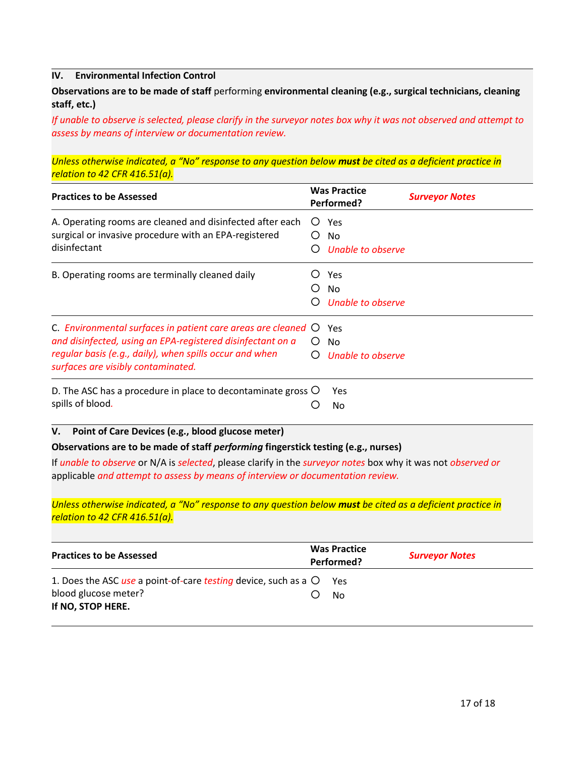#### **IV. Environmental Infection Control**

**Observations are to be made of staff** performing **environmental cleaning (e.g., surgical technicians, cleaning staff, etc.)**

*If unable to observe is selected, please clarify in the surveyor notes box why it was not observed and attempt to assess by means of interview or documentation review.*

*Unless otherwise indicated, a "No" response to any question below must be cited as a deficient practice in relation to 42 CFR 416.51(a).*

| <b>Practices to be Assessed</b>                                                                                                                                                                                              | <b>Was Practice</b><br>Performed?                                    | <b>Surveyor Notes</b> |
|------------------------------------------------------------------------------------------------------------------------------------------------------------------------------------------------------------------------------|----------------------------------------------------------------------|-----------------------|
| A. Operating rooms are cleaned and disinfected after each<br>surgical or invasive procedure with an EPA-registered<br>disinfectant                                                                                           | Yes<br>Ő<br>No.<br>()<br>Unable to observe<br>$\left( \quad \right)$ |                       |
| B. Operating rooms are terminally cleaned daily                                                                                                                                                                              | Yes<br>No<br>Unable to observe                                       |                       |
| C. Environmental surfaces in patient care areas are cleaned O<br>and disinfected, using an EPA-registered disinfectant on a<br>regular basis (e.g., daily), when spills occur and when<br>surfaces are visibly contaminated. | Yes<br>N <sub>o</sub><br>()<br>Unable to observe                     |                       |
| D. The ASC has a procedure in place to decontaminate gross $\bigcirc$<br>spills of blood.                                                                                                                                    | Yes<br><b>No</b>                                                     |                       |

### **V. Point of Care Devices (e.g., blood glucose meter)**

#### **Observations are to be made of staff** *performing* **fingerstick testing (e.g., nurses)**

If *unable to observe* or N/A is *selected*, please clarify in the *surveyor notes* box why it was not *observed or* applicable *and attempt to assess by means of interview or documentation review.*

*Unless otherwise indicated, a "No" response to any question below must be cited as a deficient practice in relation to 42 CFR 416.51(a).*

| <b>Practices to be Assessed</b>                                          | <b>Was Practice</b><br>Performed? | <b>Surveyor Notes</b> |
|--------------------------------------------------------------------------|-----------------------------------|-----------------------|
| 1. Does the ASC use a point-of-care testing device, such as a $\bigcirc$ | Yes                               |                       |
| blood glucose meter?<br>If NO, STOP HERE.                                | N <sub>0</sub>                    |                       |